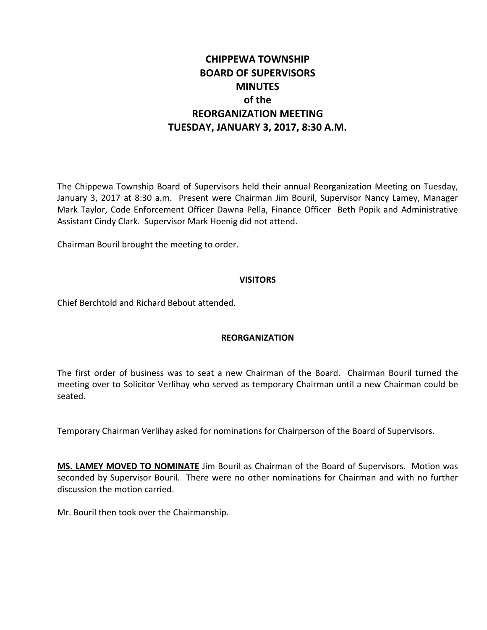# **CHIPPEWA TOWNSHIP BOARD OF SUPERVISORS MINUTES of the REORGANIZATION MEETING TUESDAY, JANUARY 3, 2017, 8:30 A.M.**

The Chippewa Township Board of Supervisors held their annual Reorganization Meeting on Tuesday, January 3, 2017 at 8:30 a.m. Present were Chairman Jim Bouril, Supervisor Nancy Lamey, Manager Mark Taylor, Code Enforcement Officer Dawna Pella, Finance Officer Beth Popik and Administrative Assistant Cindy Clark. Supervisor Mark Hoenig did not attend.

Chairman Bouril brought the meeting to order.

## **VISITORS**

Chief Berchtold and Richard Bebout attended.

# **REORGANIZATION**

The first order of business was to seat a new Chairman of the Board. Chairman Bouril turned the meeting over to Solicitor Verlihay who served as temporary Chairman until a new Chairman could be seated.

Temporary Chairman Verlihay asked for nominations for Chairperson of the Board of Supervisors.

**MS. LAMEY MOVED TO NOMINATE** Jim Bouril as Chairman of the Board of Supervisors. Motion was seconded by Supervisor Bouril. There were no other nominations for Chairman and with no further discussion the motion carried.

Mr. Bouril then took over the Chairmanship.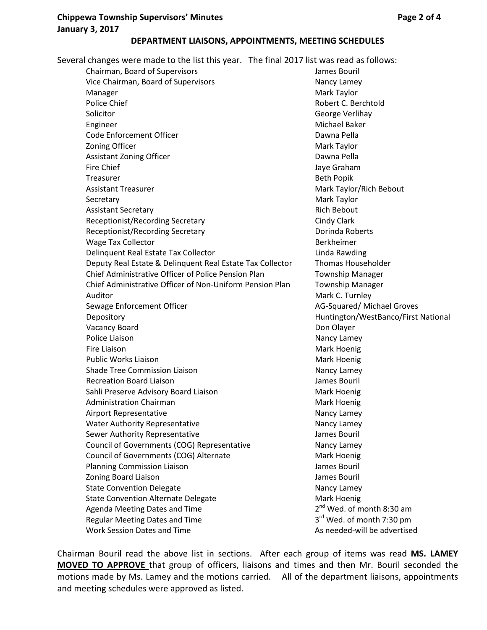# **Chippewa Township Supervisors' Minutes Access 2 of 4 Page 2 of 4 January 3, 2017**

#### **DEPARTMENT LIAISONS, APPOINTMENTS, MEETING SCHEDULES**

Several changes were made to the list this year. The final 2017 list was read as follows:

Chairman, Board of Supervisors James Bouril Vice Chairman, Board of Supervisors Nancy Lamey Manager Manager Mark Taylor Police Chief **Calculation** Chief Robert C. Berchtold **Robert C. Berchtold** Solicitor **George Verlihay** Engineer Michael Baker Code Enforcement Officer **Dawna Pella Zoning Officer Mark Taylor** Mark Taylor Assistant Zoning Officer **Dawna Pella** Fire Chief **Internal Contract Contract Contract Contract Contract Contract Contract Contract Contract Contract Contract Contract Contract Contract Contract Contract Contract Contract Contract Contract Contract Contract Con** Treasurer **Beth Popik Beth Popik** Assistant Treasurer Mark Taylor/Rich Bebout Secretary **Mark Taylor** Mark Taylor Assistant Secretary **Rich Bebout Rich Bebout** Receptionist/Recording Secretary Cindy Clark Receptionist/Recording Secretary **Exercise Secretary** Dorinda Roberts Wage Tax Collector **Berkheimer** Berkheimer Delinquent Real Estate Tax Collector **Linda Rawding** Deputy Real Estate & Delinquent Real Estate Tax Collector Thomas Householder Chief Administrative Officer of Police Pension Plan Township Manager Chief Administrative Officer of Non-Uniform Pension Plan Township Manager Auditor **Mark C. Turnley** Sewage Enforcement Officer **AG-Squared/ Michael Groves** AG-Squared/ Michael Groves Depository **Example 20 and Transform Control** Huntington/WestBanco/First National Vacancy Board **Don Olayer** Don Olayer Police Liaison **Nancy Lamey** Nancy Lamey Fire Liaison **Mark Hoenig** Mark Hoenig Public Works Liaison **Mark Hoenig** Mark Hoenig Shade Tree Commission Liaison Nancy Lamey Recreation Board Liaison **Communist Communist Communist Communist Communist Communist Communist Communist Communist Communist Communist Communist Communist Communist Communist Communist Communist Communist Communist Commun** Sahli Preserve Advisory Board Liaison Mark Hoenig Administration Chairman Mark Hoenig and Mark Hoenig Airport Representative Nancy Lamey Water Authority Representative Nancy Lamey Sewer Authority Representative **Search Authority Representative** James Bouril Council of Governments (COG) Representative Mancy Lamey Council of Governments (COG) Alternate Mark Hoenig Mark Hoenig Planning Commission Liaison **James Bouril** Zoning Board Liaison James Bouril State Convention Delegate Nancy Lamey State Convention Alternate Delegate Mark Hoenig Agenda Meeting Dates and Time  $2<sup>nd</sup>$  Wed. of month 8:30 am Regular Meeting Dates and Time  $3<sup>rd</sup>$  Wed. of month 7:30 pm Work Session Dates and Time As needed-will be advertised

Chairman Bouril read the above list in sections. After each group of items was read **MS. LAMEY MOVED TO APPROVE** that group of officers, liaisons and times and then Mr. Bouril seconded the motions made by Ms. Lamey and the motions carried. All of the department liaisons, appointments and meeting schedules were approved as listed.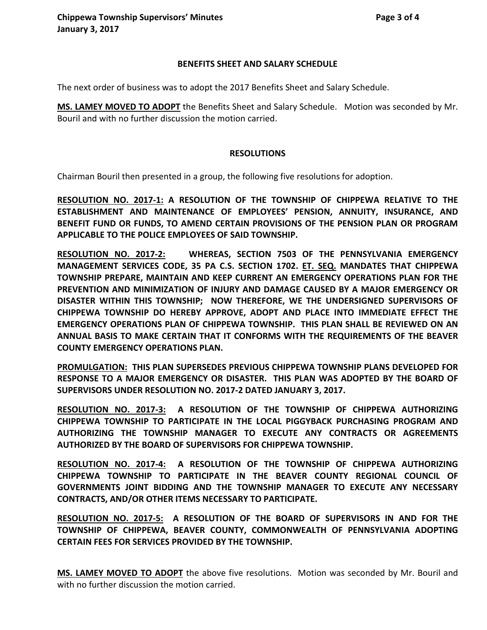#### **BENEFITS SHEET AND SALARY SCHEDULE**

The next order of business was to adopt the 2017 Benefits Sheet and Salary Schedule.

**MS. LAMEY MOVED TO ADOPT** the Benefits Sheet and Salary Schedule. Motion was seconded by Mr. Bouril and with no further discussion the motion carried.

#### **RESOLUTIONS**

Chairman Bouril then presented in a group, the following five resolutions for adoption.

**RESOLUTION NO. 2017-1: A RESOLUTION OF THE TOWNSHIP OF CHIPPEWA RELATIVE TO THE ESTABLISHMENT AND MAINTENANCE OF EMPLOYEES' PENSION, ANNUITY, INSURANCE, AND BENEFIT FUND OR FUNDS, TO AMEND CERTAIN PROVISIONS OF THE PENSION PLAN OR PROGRAM APPLICABLE TO THE POLICE EMPLOYEES OF SAID TOWNSHIP.**

**RESOLUTION NO. 2017-2: WHEREAS, SECTION 7503 OF THE PENNSYLVANIA EMERGENCY MANAGEMENT SERVICES CODE, 35 PA C.S. SECTION 1702. ET. SEQ. MANDATES THAT CHIPPEWA TOWNSHIP PREPARE, MAINTAIN AND KEEP CURRENT AN EMERGENCY OPERATIONS PLAN FOR THE PREVENTION AND MINIMIZATION OF INJURY AND DAMAGE CAUSED BY A MAJOR EMERGENCY OR DISASTER WITHIN THIS TOWNSHIP; NOW THEREFORE, WE THE UNDERSIGNED SUPERVISORS OF CHIPPEWA TOWNSHIP DO HEREBY APPROVE, ADOPT AND PLACE INTO IMMEDIATE EFFECT THE EMERGENCY OPERATIONS PLAN OF CHIPPEWA TOWNSHIP. THIS PLAN SHALL BE REVIEWED ON AN ANNUAL BASIS TO MAKE CERTAIN THAT IT CONFORMS WITH THE REQUIREMENTS OF THE BEAVER COUNTY EMERGENCY OPERATIONS PLAN.**

**PROMULGATION: THIS PLAN SUPERSEDES PREVIOUS CHIPPEWA TOWNSHIP PLANS DEVELOPED FOR RESPONSE TO A MAJOR EMERGENCY OR DISASTER. THIS PLAN WAS ADOPTED BY THE BOARD OF SUPERVISORS UNDER RESOLUTION NO. 2017-2 DATED JANUARY 3, 2017.**

**RESOLUTION NO. 2017-3: A RESOLUTION OF THE TOWNSHIP OF CHIPPEWA AUTHORIZING CHIPPEWA TOWNSHIP TO PARTICIPATE IN THE LOCAL PIGGYBACK PURCHASING PROGRAM AND AUTHORIZING THE TOWNSHIP MANAGER TO EXECUTE ANY CONTRACTS OR AGREEMENTS AUTHORIZED BY THE BOARD OF SUPERVISORS FOR CHIPPEWA TOWNSHIP.**

**RESOLUTION NO. 2017-4: A RESOLUTION OF THE TOWNSHIP OF CHIPPEWA AUTHORIZING CHIPPEWA TOWNSHIP TO PARTICIPATE IN THE BEAVER COUNTY REGIONAL COUNCIL OF GOVERNMENTS JOINT BIDDING AND THE TOWNSHIP MANAGER TO EXECUTE ANY NECESSARY CONTRACTS, AND/OR OTHER ITEMS NECESSARY TO PARTICIPATE.**

**RESOLUTION NO. 2017-5: A RESOLUTION OF THE BOARD OF SUPERVISORS IN AND FOR THE TOWNSHIP OF CHIPPEWA, BEAVER COUNTY, COMMONWEALTH OF PENNSYLVANIA ADOPTING CERTAIN FEES FOR SERVICES PROVIDED BY THE TOWNSHIP.**

**MS. LAMEY MOVED TO ADOPT** the above five resolutions. Motion was seconded by Mr. Bouril and with no further discussion the motion carried.